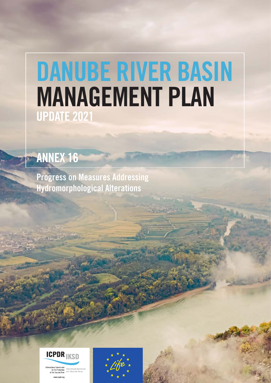# DANUBE RIVER BASIN MANAGEMENT PLAN UPDATE 2021

## ANNEX 16

Progress on Measures Addressing Hydromorphological Alterations



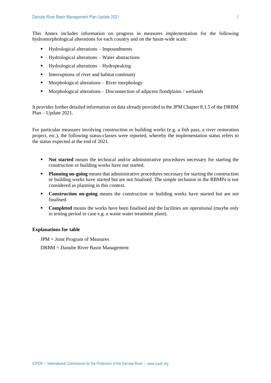This Annex includes information on progress in measures implementation for the following hydromorphological alterations for each country and on the basin-wide scale:

- Hydrological alterations Impoundments
- Hydrological alterations Water abstractions
- Hydrological alterations Hydropeaking
- Interruptions of river and habitat continuity
- Morphological alterations River morphology
- Morphological alterations Disconnection of adjacent floodplains / wetlands

It provides further detailed information on data already provided in the JPM Chapter 8.1.5 of the DRBM Plan – Update 2021.

For particular measures involving construction or building works (e.g. a fish pass, a river restoration project, etc.), the following status-classes were reported, whereby the implementation status refers to the status expected at the end of 2021.

- **Not started** means the technical and/or administrative procedures necessary for starting the construction or building works have not started.
- **Planning on-going** means that administrative procedures necessary for starting the construction or building works have started but are not finalised. The simple inclusion in the RBMPs is not considered as planning in this context.
- **Construction on-going** means the construction or building works have started but are not finalised.
- **Completed** means the works have been finalised and the facilities are operational (maybe only in testing period in case e.g. a waste water treatment plant).

#### **Explanations for table**

JPM = Joint Program of Measures

DRBM = Danube River Basin Management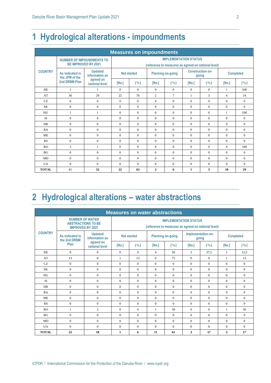#### **1 Hydrological alterations - impoundments**

| <b>Measures on impoundments</b> |                                                                |                                  |                                                                                     |                             |                          |                             |                                  |                             |                  |                             |  |  |  |
|---------------------------------|----------------------------------------------------------------|----------------------------------|-------------------------------------------------------------------------------------|-----------------------------|--------------------------|-----------------------------|----------------------------------|-----------------------------|------------------|-----------------------------|--|--|--|
|                                 | <b>NUMBER OF IMPOUNDMENTS TO</b><br><b>BE IMPROVED BY 2021</b> |                                  | <b>IMPLEMENTATION STATUS</b><br>(reference to measures as agreed on national level) |                             |                          |                             |                                  |                             |                  |                             |  |  |  |
| <b>COUNTRY</b>                  | As indicated in<br>the JPM of the                              | <b>Updated</b><br>information as | <b>Not started</b>                                                                  |                             | <b>Planning on-going</b> |                             | <b>Construction on-</b><br>going |                             | <b>Completed</b> |                             |  |  |  |
|                                 | 2nd DRBM Plan                                                  | agreed on<br>national level      | [No.]                                                                               | $\lceil \frac{9}{6} \rceil$ | [No.]                    | $\lceil \frac{9}{6} \rceil$ | [No.]                            | $\lceil \sqrt[9]{6} \rceil$ | [No.]            | $\lceil \frac{9}{6} \rceil$ |  |  |  |
| DE.                             | 1                                                              | 1                                | $\Omega$                                                                            | $\Omega$                    | $\Omega$                 | $\Omega$                    | $\Omega$                         | $\Omega$                    | $\mathbf{1}$     | 100                         |  |  |  |
| AT                              | 36                                                             | 29                               | 22                                                                                  | 76                          | $\overline{c}$           | $\overline{7}$              | $\mathbf{1}$                     | 3                           | $\overline{4}$   | 14                          |  |  |  |
| <b>CZ</b>                       | $\Omega$                                                       | $\Omega$                         | $\Omega$                                                                            | $\Omega$                    | $\Omega$                 | $\Omega$                    | $\Omega$                         | $\Omega$                    | $\Omega$         | $\Omega$                    |  |  |  |
| <b>SK</b>                       | $\mathbf{0}$                                                   | $\Omega$                         | $\Omega$                                                                            | $\Omega$                    | $\Omega$                 | $\Omega$                    | $\Omega$                         | $\Omega$                    | $\theta$         | $\theta$                    |  |  |  |
| HU                              | 1                                                              | 1                                | $\mathbf{0}$                                                                        | $\Omega$                    | $\Omega$                 | $\Omega$                    | $\mathbf{0}$                     | $\Omega$                    | $\mathbf{1}$     | 100                         |  |  |  |
| <b>SI</b>                       | $\mathbf{0}$                                                   | $\Omega$                         | $\Omega$                                                                            | $\Omega$                    | $\Omega$                 | $\Omega$                    | $\Omega$                         | $\Omega$                    | $\Omega$         | $\Omega$                    |  |  |  |
| <b>HR</b>                       | $\mathbf{0}$                                                   | $\Omega$                         | $\mathbf{0}$                                                                        | $\Omega$                    | $\Omega$                 | $\Omega$                    | $\Omega$                         | $\Omega$                    | $\theta$         | $\theta$                    |  |  |  |
| <b>BA</b>                       | $\mathbf{0}$                                                   | $\Omega$                         | $\Omega$                                                                            | $\Omega$                    | $\Omega$                 | $\Omega$                    | $\Omega$                         | $\Omega$                    | $\Omega$         | $\theta$                    |  |  |  |
| <b>ME</b>                       | $\Omega$                                                       | $\Omega$                         | $\Omega$                                                                            | $\Omega$                    | $\Omega$                 | $\Omega$                    | $\Omega$                         | $\Omega$                    | $\Omega$         | $\Omega$                    |  |  |  |
| RS                              | $\mathbf{0}$                                                   | $\mathbf{0}$                     | $\mathbf{0}$                                                                        | $\Omega$                    | $\mathbf{0}$             | $\Omega$                    | $\mathbf{0}$                     | $\Omega$                    | $\theta$         | $\theta$                    |  |  |  |
| RO                              | 3                                                              | 1                                | $\Omega$                                                                            | $\Omega$                    | $\Omega$                 | $\Omega$                    | $\Omega$                         | $\Omega$                    | $\overline{4}$   | 100                         |  |  |  |
| BG                              | $\Omega$                                                       | $\Omega$                         | $\Omega$                                                                            | $\Omega$                    | $\Omega$                 | $\Omega$                    | $\Omega$                         | $\Omega$                    | $\Omega$         | $\Omega$                    |  |  |  |
| <b>MD</b>                       | $\Omega$                                                       | $\Omega$                         | $\Omega$                                                                            | $\Omega$                    | $\Omega$                 | $\Omega$                    | $\Omega$                         | $\Omega$                    | $\Omega$         | $\theta$                    |  |  |  |
| <b>UA</b>                       | $\Omega$                                                       | $\Omega$                         | $\Omega$                                                                            | $\Omega$                    | $\Omega$                 | $\Omega$                    | $\Omega$                         | $\Omega$                    | $\Omega$         | $\Omega$                    |  |  |  |
| <b>TOTAL</b>                    | 41                                                             | 32                               | 22                                                                                  | 63                          | $\overline{2}$           | 6                           | $\mathbf{1}$                     | 3                           | 10               | 29                          |  |  |  |

#### **2 Hydrological alterations – water abstractions**

| <b>Measures on water abstractions</b> |                                                                                |                                                                                     |                    |          |                          |                             |                             |                             |                  |                             |  |  |
|---------------------------------------|--------------------------------------------------------------------------------|-------------------------------------------------------------------------------------|--------------------|----------|--------------------------|-----------------------------|-----------------------------|-----------------------------|------------------|-----------------------------|--|--|
|                                       | <b>NUMBER OF WATER</b><br><b>ABSTRACTIONS TO BE</b><br><b>IMPROVED BY 2021</b> | <b>IMPLEMENTATION STATUS</b><br>(reference to measures as agreed on national level) |                    |          |                          |                             |                             |                             |                  |                             |  |  |
| <b>COUNTRY</b>                        | As indicated in<br>the 2nd DRBM                                                | <b>Updated</b><br>information as                                                    | <b>Not started</b> |          | <b>Planning on-going</b> |                             | Implementation on-<br>going |                             | <b>Completed</b> |                             |  |  |
|                                       | Plan                                                                           | agreed on<br>national level                                                         | [No.]              | [%]      | [No.]                    | $\lceil \sqrt[9]{6} \rceil$ | [No.]                       | $\lceil \frac{9}{6} \rceil$ | [No.]            | $\lceil \frac{9}{6} \rceil$ |  |  |
| DE.                                   | 8                                                                              | 8                                                                                   | $\Omega$           | $\Omega$ | $\overline{4}$           | 50                          | 3                           | 37,5                        | $\mathbf{1}$     | 12,5                        |  |  |
| AT                                    | 13                                                                             | 8                                                                                   | $\mathbf{1}$       | 13       | 6                        | 75                          | $\Omega$                    | $\theta$                    | 1                | 13                          |  |  |
| <b>CZ</b>                             | $\overline{0}$                                                                 | $\Omega$                                                                            | $\Omega$           | $\Omega$ | $\Omega$                 | $\Omega$                    | $\Omega$                    | $\Omega$                    | $\theta$         | $\Omega$                    |  |  |
| <b>SK</b>                             | $\overline{0}$                                                                 | $\Omega$                                                                            | $\mathbf{0}$       | $\Omega$ | $\Omega$                 | $\Omega$                    | $\Omega$                    | $\Omega$                    | $\theta$         | $\mathbf{0}$                |  |  |
| HU                                    | $\overline{0}$                                                                 | $\Omega$                                                                            | $\Omega$           | $\Omega$ | $\Omega$                 | $\Omega$                    | $\Omega$                    | $\Omega$                    | $\Omega$         | $\Omega$                    |  |  |
| <b>SI</b>                             | $\overline{0}$                                                                 | $\Omega$                                                                            | $\Omega$           | $\Omega$ | $\Omega$                 | $\Omega$                    | $\Omega$                    | $\Omega$                    | $\theta$         | $\Omega$                    |  |  |
| <b>HR</b>                             | $\overline{0}$                                                                 | $\Omega$                                                                            | $\mathbf{0}$       | $\Omega$ | $\Omega$                 | $\Omega$                    | $\Omega$                    | $\Omega$                    | $\theta$         | $\mathbf{0}$                |  |  |
| <b>BA</b>                             | $\overline{0}$                                                                 | $\Omega$                                                                            | $\mathbf{0}$       | $\Omega$ | $\Omega$                 | $\Omega$                    | $\Omega$                    | $\Omega$                    | $\Omega$         | $\Omega$                    |  |  |
| <b>ME</b>                             | $\overline{0}$                                                                 | $\Omega$                                                                            | $\Omega$           | $\Omega$ | $\Omega$                 | $\Omega$                    | $\Omega$                    | $\Omega$                    | $\Omega$         | $\Omega$                    |  |  |
| RS                                    | $\overline{0}$                                                                 | $\Omega$                                                                            | $\Omega$           | $\Omega$ | $\Omega$                 | $\Omega$                    | $\Omega$                    | $\theta$                    | $\theta$         | $\Omega$                    |  |  |
| <b>RO</b>                             | 1                                                                              | $\overline{2}$                                                                      | $\Omega$           | $\Omega$ | 1                        | 50                          | $\Omega$                    | $\theta$                    | 1                | 50                          |  |  |
| BG                                    | $\overline{0}$                                                                 | $\Omega$                                                                            | $\Omega$           | $\Omega$ | $\Omega$                 | $\Omega$                    | $\Omega$                    | $\Omega$                    | $\Omega$         | $\Omega$                    |  |  |
| MD                                    | $\Omega$                                                                       | $\Omega$                                                                            | $\Omega$           | $\Omega$ | $\Omega$                 | $\Omega$                    | $\Omega$                    | $\Omega$                    | $\theta$         | $\Omega$                    |  |  |
| <b>UA</b>                             | $\overline{0}$                                                                 | $\Omega$                                                                            | $\mathbf{0}$       | $\Omega$ | $\Omega$                 | $\Omega$                    | $\Omega$                    | $\theta$                    | $\theta$         | $\Omega$                    |  |  |
| <b>TOTAL</b>                          | 22                                                                             | 18                                                                                  | 1                  | 6        | 11                       | 61                          | 3                           | 17                          | 3                | 17                          |  |  |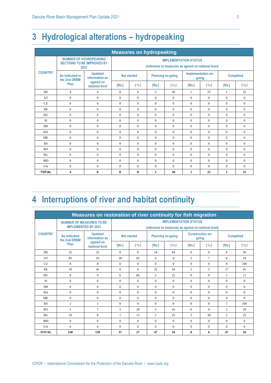#### **3 Hydrological alterations – hydropeaking**

| <b>Measures on hydropeaking</b> |                                                                            |                                  |                                                                                     |                             |                          |                             |                             |                             |                  |                             |  |  |  |
|---------------------------------|----------------------------------------------------------------------------|----------------------------------|-------------------------------------------------------------------------------------|-----------------------------|--------------------------|-----------------------------|-----------------------------|-----------------------------|------------------|-----------------------------|--|--|--|
|                                 | <b>NUMBER OF HYDROPEAKING</b><br><b>SECTIONS TO BE IMPROVED BY</b><br>2021 |                                  | <b>IMPLEMENTATION STATUS</b><br>(reference to measures as agreed on national level) |                             |                          |                             |                             |                             |                  |                             |  |  |  |
| <b>COUNTRY</b>                  | As indicated in<br>the 2nd DRBM<br>Plan                                    | <b>Updated</b><br>information as | <b>Not started</b>                                                                  |                             | <b>Planning on-going</b> |                             | Implementation on-<br>going |                             | <b>Completed</b> |                             |  |  |  |
|                                 |                                                                            | agreed on<br>national level      | [No.]                                                                               | $\lceil \frac{9}{6} \rceil$ | [No.]                    | $\lceil \frac{9}{6} \rceil$ | [No.]                       | $\lceil \frac{9}{6} \rceil$ | [No.]            | $\lceil \frac{9}{6} \rceil$ |  |  |  |
| DE                              | $\overline{4}$                                                             | $\overline{4}$                   | $\mathbf{0}$                                                                        | $\Omega$                    | $\overline{c}$           | 50                          | $\mathbf{1}$                | 25                          | $\mathbf{1}$     | 25                          |  |  |  |
| AT                              | $\mathbf{0}$                                                               | $\Omega$                         | $\Omega$                                                                            | $\Omega$                    | $\Omega$                 | $\Omega$                    | $\Omega$                    | $\Omega$                    | $\Omega$         | $\Omega$                    |  |  |  |
| CZ.                             | $\Omega$                                                                   | $\Omega$                         | $\Omega$                                                                            | $\Omega$                    | $\Omega$                 | $\Omega$                    | $\Omega$                    | $\Omega$                    | $\Omega$         | $\Omega$                    |  |  |  |
| <b>SK</b>                       | $\mathbf{0}$                                                               | $\Omega$                         | $\Omega$                                                                            | $\Omega$                    | $\Omega$                 | $\Omega$                    | $\Omega$                    | $\theta$                    | $\Omega$         | $\Omega$                    |  |  |  |
| HU                              | $\mathbf{0}$                                                               | $\Omega$                         | $\Omega$                                                                            | $\Omega$                    | $\Omega$                 | $\Omega$                    | $\Omega$                    | $\theta$                    | $\Omega$         | $\Omega$                    |  |  |  |
| <b>SI</b>                       | $\mathbf{0}$                                                               | $\Omega$                         | $\Omega$                                                                            | $\Omega$                    | $\Omega$                 | $\Omega$                    | $\Omega$                    | $\Omega$                    | $\Omega$         | $\Omega$                    |  |  |  |
| <b>HR</b>                       | $\mathbf{0}$                                                               | $\Omega$                         | $\Omega$                                                                            | $\Omega$                    | $\Omega$                 | $\Omega$                    | $\Omega$                    | $\Omega$                    | $\Omega$         | $\Omega$                    |  |  |  |
| <b>BA</b>                       | $\mathbf{0}$                                                               | $\Omega$                         | $\Omega$                                                                            | $\Omega$                    | $\Omega$                 | $\Omega$                    | $\Omega$                    | $\theta$                    | $\Omega$         | $\Omega$                    |  |  |  |
| <b>ME</b>                       | $\mathbf{0}$                                                               | $\Omega$                         | $\Omega$                                                                            | $\Omega$                    | $\Omega$                 | $\Omega$                    | $\Omega$                    | $\theta$                    | $\Omega$         | $\Omega$                    |  |  |  |
| RS                              | $\Omega$                                                                   | $\Omega$                         | $\Omega$                                                                            | $\Omega$                    | $\Omega$                 | $\Omega$                    | $\Omega$                    | $\theta$                    | $\Omega$         | $\Omega$                    |  |  |  |
| RO                              | $\Omega$                                                                   | $\Omega$                         | $\Omega$                                                                            | $\Omega$                    | $\Omega$                 | $\Omega$                    | $\Omega$                    | $\theta$                    | $\Omega$         | $\Omega$                    |  |  |  |
| BG                              | $\mathbf{0}$                                                               | $\Omega$                         | $\Omega$                                                                            | $\Omega$                    | $\Omega$                 | $\Omega$                    | $\Omega$                    | $\theta$                    | $\Omega$         | $\Omega$                    |  |  |  |
| <b>MD</b>                       | $\mathbf{0}$                                                               | $\Omega$                         | $\Omega$                                                                            | $\Omega$                    | $\Omega$                 | $\Omega$                    | $\Omega$                    | $\Omega$                    | $\Omega$         | $\Omega$                    |  |  |  |
| <b>IJA</b>                      | $\mathbf{0}$                                                               | $\Omega$                         | $\Omega$                                                                            | $\Omega$                    | $\Omega$                 | $\Omega$                    | $\Omega$                    | $\Omega$                    | $\Omega$         | $\Omega$                    |  |  |  |
| <b>TOTAL</b>                    | 4                                                                          | 4                                | $\bf{0}$                                                                            | $\bf{0}$                    | $\mathbf{2}$             | 50                          | $\mathbf{1}$                | 25                          | $\mathbf{1}$     | 25                          |  |  |  |

#### **4 Interruptions of river and habitat continuity**

| Measures on restoration of river continuity for fish migration |                                                               |                                  |                                                                                     |                             |                          |                             |                                  |                             |                  |          |  |  |  |
|----------------------------------------------------------------|---------------------------------------------------------------|----------------------------------|-------------------------------------------------------------------------------------|-----------------------------|--------------------------|-----------------------------|----------------------------------|-----------------------------|------------------|----------|--|--|--|
|                                                                | <b>NUMBER OF MEASURES TO BE</b><br><b>IMPLEMENTED BY 2021</b> |                                  | <b>IMPLEMENTATION STATUS</b><br>(reference to measures as agreed on national level) |                             |                          |                             |                                  |                             |                  |          |  |  |  |
| <b>COUNTRY</b>                                                 | As indicated<br>the 2nd DRBM                                  | <b>Updated</b><br>information as | <b>Not started</b>                                                                  |                             | <b>Planning on-going</b> |                             | <b>Construction on-</b><br>going |                             | <b>Completed</b> |          |  |  |  |
|                                                                | Plan                                                          | agreed on<br>national level      | [No.]                                                                               | $\lceil \frac{9}{6} \rceil$ | [No.]                    | $\lceil \frac{9}{6} \rceil$ | [No.]                            | $\lceil \frac{9}{6} \rceil$ | [No.]            | [%]      |  |  |  |
| D <sub>E</sub>                                                 | 22                                                            | 22                               | $\Omega$                                                                            | $\Omega$                    | 14                       | 64                          | $\Omega$                         | $\Omega$                    | 8                | 36       |  |  |  |
| AT                                                             | 85                                                            | 43                               | 28                                                                                  | 65                          | $\overline{4}$           | 9                           | 3                                | $\tau$                      | 8                | 19       |  |  |  |
| CZ.                                                            | 8                                                             | 8                                | $\theta$                                                                            | $\Omega$                    | $\Omega$                 | $\Omega$                    | $\Omega$                         | $\theta$                    | 8                | 100      |  |  |  |
| SK                                                             | 19                                                            | 41                               | $\Omega$                                                                            | $\Omega$                    | 22                       | 54                          | $\overline{c}$                   | 5                           | 17               | 41       |  |  |  |
| HU                                                             | 8                                                             | 9                                | 6                                                                                   | 66                          | $\overline{2}$           | 22                          | $\Omega$                         | $\Omega$                    | $\mathbf{1}$     | 11       |  |  |  |
| <b>SI</b>                                                      | $\mathbf{0}$                                                  | $\Omega$                         | $\Omega$                                                                            | $\Omega$                    | $\Omega$                 | $\Omega$                    | $\Omega$                         | $\Omega$                    | $\Omega$         | $\Omega$ |  |  |  |
| <b>HR</b>                                                      | $\mathbf{0}$                                                  | $\mathbf{0}$                     | $\mathbf{0}$                                                                        | $\Omega$                    | $\Omega$                 | $\Omega$                    | $\Omega$                         | $\Omega$                    | $\theta$         | $\theta$ |  |  |  |
| <b>BA</b>                                                      | $\mathbf{0}$                                                  | $\Omega$                         | $\theta$                                                                            | $\Omega$                    | $\Omega$                 | $\Omega$                    | $\Omega$                         | $\Omega$                    | $\Omega$         | $\Omega$ |  |  |  |
| <b>ME</b>                                                      | $\Omega$                                                      | $\Omega$                         | $\Omega$                                                                            | $\Omega$                    | $\Omega$                 | $\Omega$                    | $\Omega$                         | $\Omega$                    | $\Omega$         | $\theta$ |  |  |  |
| RS                                                             | 1                                                             | -1                               | $\mathbf{0}$                                                                        | $\Omega$                    | $\Omega$                 | $\Omega$                    | $\mathbf{0}$                     | $\Omega$                    | 1                | 100      |  |  |  |
| R <sub>O</sub>                                                 | 5                                                             | $\tau$                           | $\overline{c}$                                                                      | 29                          | 3                        | 43                          | $\Omega$                         | $\Omega$                    | $\overline{2}$   | 29       |  |  |  |
| BG <sub>f</sub>                                                | 10                                                            | 8                                | $\mathbf{1}$                                                                        | 13                          | $\overline{2}$           | 25                          | 3                                | 38                          | $\overline{2}$   | 25       |  |  |  |
| <b>MD</b>                                                      | $\mathbf{0}$                                                  | $\Omega$                         | $\Omega$                                                                            | $\Omega$                    | $\Omega$                 | $\Omega$                    | $\Omega$                         | $\Omega$                    | $\Omega$         | $\Omega$ |  |  |  |
| <b>UA</b>                                                      | $\mathbf{0}$                                                  | $\Omega$                         | $\theta$                                                                            | $\Omega$                    | $\Omega$                 | $\Omega$                    | $\Omega$                         | $\Omega$                    | $\theta$         | $\theta$ |  |  |  |
| <b>TOTAL</b>                                                   | 158                                                           | 139                              | 37                                                                                  | 27                          | 47                       | 34                          | 8                                | 6                           | 47               | 34       |  |  |  |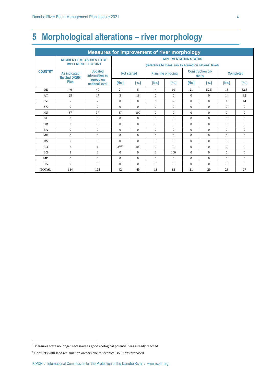### **5 Morphological alterations – river morphology**

| <b>Measures for improvement of river morphology</b> |                                      |                                                                 |                                                                                     |                             |                          |                             |                                  |                             |                  |                             |  |  |  |
|-----------------------------------------------------|--------------------------------------|-----------------------------------------------------------------|-------------------------------------------------------------------------------------|-----------------------------|--------------------------|-----------------------------|----------------------------------|-----------------------------|------------------|-----------------------------|--|--|--|
|                                                     |                                      | <b>NUMBER OF MEASURES TO BE</b><br><b>IMPLEMENTED BY 2021</b>   | <b>IMPLEMENTATION STATUS</b><br>(reference to measures as agreed on national level) |                             |                          |                             |                                  |                             |                  |                             |  |  |  |
| <b>COUNTRY</b>                                      | As indicated<br>the 2nd DRBM<br>Plan | <b>Updated</b><br>information as<br>agreed on<br>national level | <b>Not started</b>                                                                  |                             | <b>Planning on-going</b> |                             | <b>Construction on-</b><br>going |                             | <b>Completed</b> |                             |  |  |  |
|                                                     |                                      |                                                                 | [No.]                                                                               | $\lceil \frac{9}{6} \rceil$ | [No.]                    | $\lceil \frac{9}{6} \rceil$ | [No.]                            | $\lceil \frac{9}{6} \rceil$ | [No.]            | $\lceil \frac{9}{6} \rceil$ |  |  |  |
| DE.                                                 | 40                                   | 40                                                              | 2 <sup>1</sup>                                                                      | 5                           | $\overline{4}$           | 10                          | 21                               | 52,5                        | 13               | 32.5                        |  |  |  |
| AT                                                  | 25                                   | 17                                                              | 3                                                                                   | 18                          | $\Omega$                 | $\Omega$                    | $\Omega$                         | $\Omega$                    | 14               | 82                          |  |  |  |
| <b>CZ</b>                                           | $\tau$                               | $\overline{7}$                                                  | $\Omega$                                                                            | $\Omega$                    | 6                        | 86                          | $\Omega$                         | $\Omega$                    | $\mathbf{1}$     | 14                          |  |  |  |
| <b>SK</b>                                           | $\mathbf{0}$                         | $\Omega$                                                        | $\Omega$                                                                            | $\Omega$                    | $\Omega$                 | $\Omega$                    | $\Omega$                         | $\theta$                    | $\theta$         | $\Omega$                    |  |  |  |
| HU                                                  | 37                                   | 37                                                              | 37                                                                                  | 100                         | $\Omega$                 | $\mathbf{0}$                | $\Omega$                         | $\overline{0}$              | $\Omega$         | $\mathbf{0}$                |  |  |  |
| <b>SI</b>                                           | $\mathbf{0}$                         | $\Omega$                                                        | $\Omega$                                                                            | $\Omega$                    | $\Omega$                 | $\Omega$                    | $\Omega$                         | $\Omega$                    | $\Omega$         | $\Omega$                    |  |  |  |
| <b>HR</b>                                           | $\boldsymbol{0}$                     | $\Omega$                                                        | $\Omega$                                                                            | $\Omega$                    | $\Omega$                 | $\Omega$                    | $\Omega$                         | $\theta$                    | $\Omega$         | $\Omega$                    |  |  |  |
| <b>BA</b>                                           | $\mathbf{0}$                         | $\Omega$                                                        | $\Omega$                                                                            | $\Omega$                    | $\Omega$                 | $\Omega$                    | $\Omega$                         | $\Omega$                    | $\Omega$         | $\Omega$                    |  |  |  |
| <b>ME</b>                                           | $\Omega$                             | $\Omega$                                                        | $\Omega$                                                                            | $\Omega$                    | $\Omega$                 | $\Omega$                    | $\Omega$                         | $\Omega$                    | $\Omega$         | $\Omega$                    |  |  |  |
| RS                                                  | $\mathbf{0}$                         | $\Omega$                                                        | $\Omega$                                                                            | $\Omega$                    | $\Omega$                 | $\Omega$                    | $\Omega$                         | $\theta$                    | $\Omega$         | $\Omega$                    |  |  |  |
| <b>RO</b>                                           | $\overline{c}$                       | 1                                                               | $3^{1/2}$                                                                           | 100                         | $\Omega$                 | $\Omega$                    | $\Omega$                         | $\Omega$                    | $\Omega$         | $\Omega$                    |  |  |  |
| BG                                                  | 3                                    | 3                                                               | $\Omega$                                                                            | $\Omega$                    | 3                        | 100                         | $\Omega$                         | $\theta$                    | $\Omega$         | $\Omega$                    |  |  |  |
| <b>MD</b>                                           | $\mathbf{0}$                         | $\mathbf{0}$                                                    | $\mathbf{0}$                                                                        | $\mathbf{0}$                | $\mathbf{0}$             | $\mathbf{0}$                | $\Omega$                         | $\overline{0}$              | $\theta$         | $\Omega$                    |  |  |  |
| <b>IJA</b>                                          | $\Omega$                             | $\Omega$                                                        | $\Omega$                                                                            | $\Omega$                    | $\Omega$                 | $\Omega$                    | $\Omega$                         | $\Omega$                    | $\Omega$         | $\Omega$                    |  |  |  |
| <b>TOTAL</b>                                        | 114                                  | 105                                                             | 42                                                                                  | 40                          | 13                       | 13                          | 21                               | 20                          | 28               | 27                          |  |  |  |

 $^{\rm 1}$  Measures were no longer necessary as good ecological potential was already reached.

<sup>2</sup> Conflicts with land reclamation owners due to technical solutions proposed